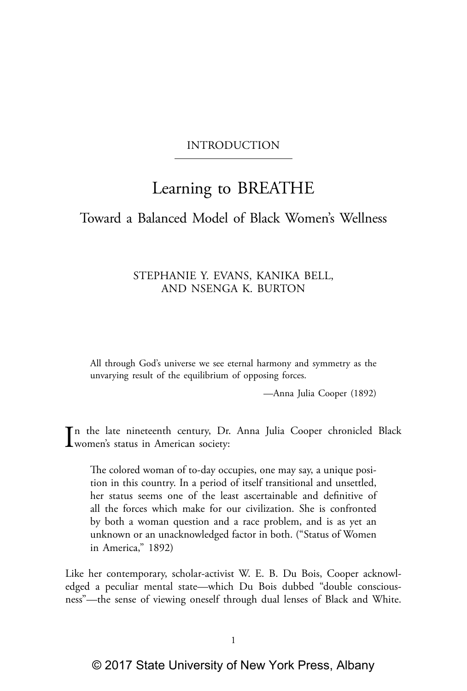### INTRODUCTION

# Learning to BREATHE

# Toward a Balanced Model of Black Women's Wellness

# STEPHANIE Y. EVANS, KANIKA BELL, AND NSENGA K. BURTON

All through God's universe we see eternal harmony and symmetry as the unvarying result of the equilibrium of opposing forces.

—Anna Julia Cooper (1892)

In the late nineteenth century, Dr.<br>Iwomen's status in American society: n the late nineteenth century, Dr. Anna Julia Cooper chronicled Black

The colored woman of to-day occupies, one may say, a unique position in this country. In a period of itself transitional and unsettled, her status seems one of the least ascertainable and definitive of all the forces which make for our civilization. She is confronted by both a woman question and a race problem, and is as yet an unknown or an unacknowledged factor in both. ("Status of Women in America," 1892)

Like her contemporary, scholar-activist W. E. B. Du Bois, Cooper acknowledged a peculiar mental state—which Du Bois dubbed "double consciousness"—the sense of viewing oneself through dual lenses of Black and White.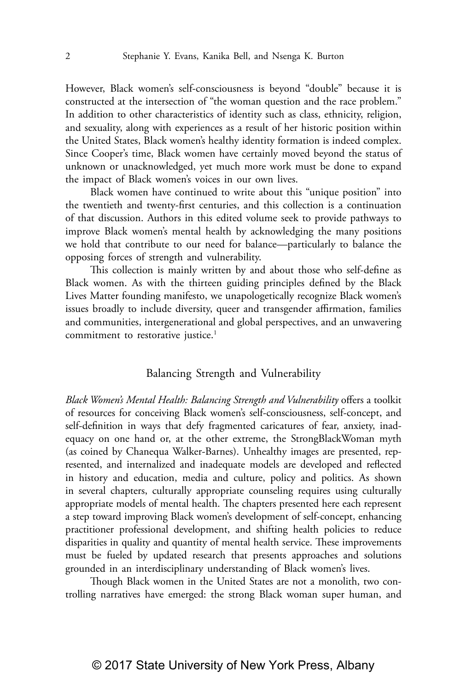However, Black women's self-consciousness is beyond "double" because it is constructed at the intersection of "the woman question and the race problem." In addition to other characteristics of identity such as class, ethnicity, religion, and sexuality, along with experiences as a result of her historic position within the United States, Black women's healthy identity formation is indeed complex. Since Cooper's time, Black women have certainly moved beyond the status of unknown or unacknowledged, yet much more work must be done to expand the impact of Black women's voices in our own lives.

Black women have continued to write about this "unique position" into the twentieth and twenty-first centuries, and this collection is a continuation of that discussion. Authors in this edited volume seek to provide pathways to improve Black women's mental health by acknowledging the many positions we hold that contribute to our need for balance—particularly to balance the opposing forces of strength and vulnerability.

This collection is mainly written by and about those who self-define as Black women. As with the thirteen guiding principles defined by the Black Lives Matter founding manifesto, we unapologetically recognize Black women's issues broadly to include diversity, queer and transgender affirmation, families and communities, intergenerational and global perspectives, and an unwavering commitment to restorative justice.<sup>1</sup>

### Balancing Strength and Vulnerability

*Black Women's Mental Health: Balancing Strength and Vulnerability* offers a toolkit of resources for conceiving Black women's self-consciousness, self-concept, and self-definition in ways that defy fragmented caricatures of fear, anxiety, inadequacy on one hand or, at the other extreme, the StrongBlackWoman myth (as coined by Chanequa Walker-Barnes). Unhealthy images are presented, represented, and internalized and inadequate models are developed and reflected in history and education, media and culture, policy and politics. As shown in several chapters, culturally appropriate counseling requires using culturally appropriate models of mental health. The chapters presented here each represent a step toward improving Black women's development of self-concept, enhancing practitioner professional development, and shifting health policies to reduce disparities in quality and quantity of mental health service. These improvements must be fueled by updated research that presents approaches and solutions grounded in an interdisciplinary understanding of Black women's lives.

Though Black women in the United States are not a monolith, two controlling narratives have emerged: the strong Black woman super human, and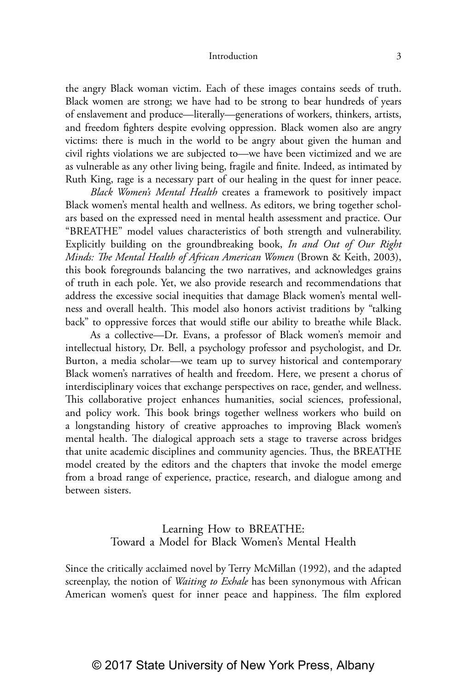the angry Black woman victim. Each of these images contains seeds of truth. Black women are strong; we have had to be strong to bear hundreds of years of enslavement and produce—literally—generations of workers, thinkers, artists, and freedom fighters despite evolving oppression. Black women also are angry victims: there is much in the world to be angry about given the human and civil rights violations we are subjected to—we have been victimized and we are as vulnerable as any other living being, fragile and finite. Indeed, as intimated by Ruth King, rage is a necessary part of our healing in the quest for inner peace.

*Black Women's Mental Health* creates a framework to positively impact Black women's mental health and wellness. As editors, we bring together scholars based on the expressed need in mental health assessment and practice. Our "BREATHE" model values characteristics of both strength and vulnerability. Explicitly building on the groundbreaking book, *In and Out of Our Right Minds: The Mental Health of African American Women* (Brown & Keith, 2003), this book foregrounds balancing the two narratives, and acknowledges grains of truth in each pole. Yet, we also provide research and recommendations that address the excessive social inequities that damage Black women's mental wellness and overall health. This model also honors activist traditions by "talking back" to oppressive forces that would stifle our ability to breathe while Black.

As a collective—Dr. Evans, a professor of Black women's memoir and intellectual history, Dr. Bell, a psychology professor and psychologist, and Dr. Burton, a media scholar—we team up to survey historical and contemporary Black women's narratives of health and freedom. Here, we present a chorus of interdisciplinary voices that exchange perspectives on race, gender, and wellness. This collaborative project enhances humanities, social sciences, professional, and policy work. This book brings together wellness workers who build on a longstanding history of creative approaches to improving Black women's mental health. The dialogical approach sets a stage to traverse across bridges that unite academic disciplines and community agencies. Thus, the BREATHE model created by the editors and the chapters that invoke the model emerge from a broad range of experience, practice, research, and dialogue among and between sisters.

## Learning How to BREATHE: Toward a Model for Black Women's Mental Health

Since the critically acclaimed novel by Terry McMillan (1992), and the adapted screenplay, the notion of *Waiting to Exhale* has been synonymous with African American women's quest for inner peace and happiness. The film explored

# © 2017 State University of New York Press, Albany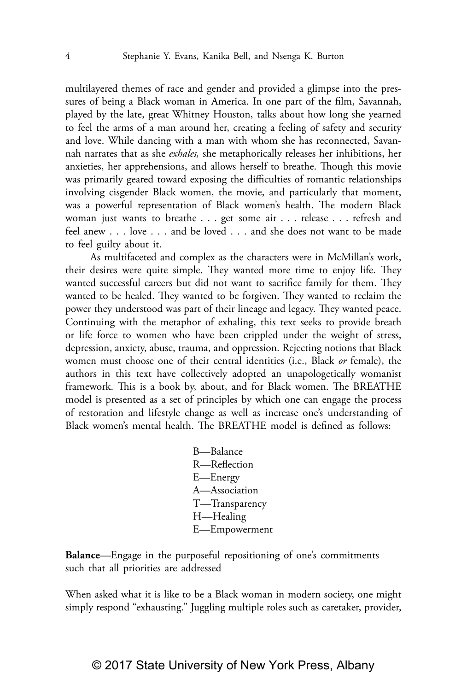multilayered themes of race and gender and provided a glimpse into the pressures of being a Black woman in America. In one part of the film, Savannah, played by the late, great Whitney Houston, talks about how long she yearned to feel the arms of a man around her, creating a feeling of safety and security and love. While dancing with a man with whom she has reconnected, Savannah narrates that as she *exhales,* she metaphorically releases her inhibitions, her anxieties, her apprehensions, and allows herself to breathe. Though this movie was primarily geared toward exposing the difficulties of romantic relationships involving cisgender Black women, the movie, and particularly that moment, was a powerful representation of Black women's health. The modern Black woman just wants to breathe . . . get some air . . . release . . . refresh and feel anew . . . love . . . and be loved . . . and she does not want to be made to feel guilty about it.

As multifaceted and complex as the characters were in McMillan's work, their desires were quite simple. They wanted more time to enjoy life. They wanted successful careers but did not want to sacrifice family for them. They wanted to be healed. They wanted to be forgiven. They wanted to reclaim the power they understood was part of their lineage and legacy. They wanted peace. Continuing with the metaphor of exhaling, this text seeks to provide breath or life force to women who have been crippled under the weight of stress, depression, anxiety, abuse, trauma, and oppression. Rejecting notions that Black women must choose one of their central identities (i.e., Black *or* female), the authors in this text have collectively adopted an unapologetically womanist framework. This is a book by, about, and for Black women. The BREATHE model is presented as a set of principles by which one can engage the process of restoration and lifestyle change as well as increase one's understanding of Black women's mental health. The BREATHE model is defined as follows:

> B—Balance R—Reflection E—Energy A—Association T—Transparency H—Healing E—Empowerment

**Balance***—*Engage in the purposeful repositioning of one's commitments such that all priorities are addressed

When asked what it is like to be a Black woman in modern society, one might simply respond "exhausting." Juggling multiple roles such as caretaker, provider,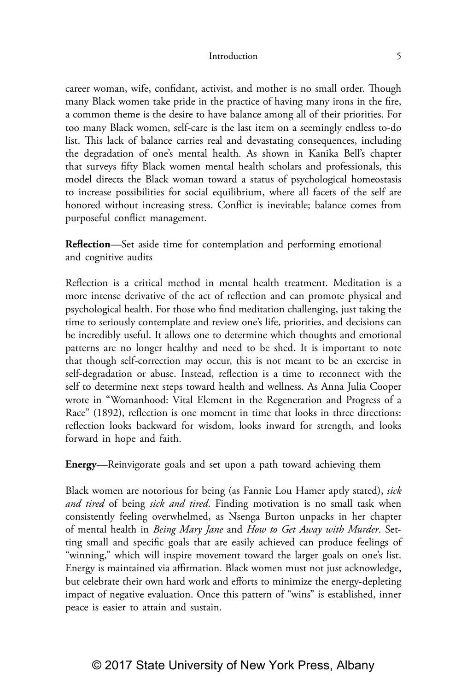career woman, wife, confidant, activist, and mother is no small order. Though many Black women take pride in the practice of having many irons in the fire, a common theme is the desire to have balance among all of their priorities. For too many Black women, self-care is the last item on a seemingly endless to-do list. This lack of balance carries real and devastating consequences, including the degradation of one's mental health. As shown in Kanika Bell's chapter that surveys fifty Black women mental health scholars and professionals, this model directs the Black woman toward a status of psychological homeostasis to increase possibilities for social equilibrium, where all facets of the self are honored without increasing stress. Conflict is inevitable; balance comes from purposeful conflict management.

**Reflection***—*Set aside time for contemplation and performing emotional and cognitive audits

Reflection is a critical method in mental health treatment. Meditation is a more intense derivative of the act of reflection and can promote physical and psychological health. For those who find meditation challenging, just taking the time to seriously contemplate and review one's life, priorities, and decisions can be incredibly useful. It allows one to determine which thoughts and emotional patterns are no longer healthy and need to be shed. It is important to note that though self-correction may occur, this is not meant to be an exercise in self-degradation or abuse. Instead, reflection is a time to reconnect with the self to determine next steps toward health and wellness. As Anna Julia Cooper wrote in "Womanhood: Vital Element in the Regeneration and Progress of a Race" (1892), reflection is one moment in time that looks in three directions: reflection looks backward for wisdom, looks inward for strength, and looks forward in hope and faith.

**Energy***—*Reinvigorate goals and set upon a path toward achieving them

Black women are notorious for being (as Fannie Lou Hamer aptly stated), *sick and tired* of being *sick and tired*. Finding motivation is no small task when consistently feeling overwhelmed, as Nsenga Burton unpacks in her chapter of mental health in *Being Mary Jane* and *How to Get Away with Murder*. Setting small and specific goals that are easily achieved can produce feelings of "winning," which will inspire movement toward the larger goals on one's list. Energy is maintained via affirmation. Black women must not just acknowledge, but celebrate their own hard work and efforts to minimize the energy-depleting impact of negative evaluation. Once this pattern of "wins" is established, inner peace is easier to attain and sustain.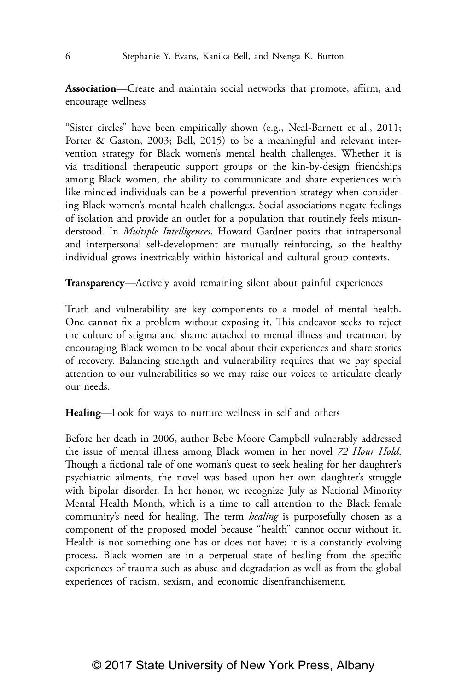**Association***—*Create and maintain social networks that promote, affirm, and encourage wellness

"Sister circles" have been empirically shown (e.g., Neal-Barnett et al., 2011; Porter & Gaston, 2003; Bell, 2015) to be a meaningful and relevant intervention strategy for Black women's mental health challenges. Whether it is via traditional therapeutic support groups or the kin-by-design friendships among Black women, the ability to communicate and share experiences with like-minded individuals can be a powerful prevention strategy when considering Black women's mental health challenges. Social associations negate feelings of isolation and provide an outlet for a population that routinely feels misunderstood. In *Multiple Intelligences*, Howard Gardner posits that intrapersonal and interpersonal self-development are mutually reinforcing, so the healthy individual grows inextricably within historical and cultural group contexts.

**Transparency***—*Actively avoid remaining silent about painful experiences

Truth and vulnerability are key components to a model of mental health. One cannot fix a problem without exposing it. This endeavor seeks to reject the culture of stigma and shame attached to mental illness and treatment by encouraging Black women to be vocal about their experiences and share stories of recovery. Balancing strength and vulnerability requires that we pay special attention to our vulnerabilities so we may raise our voices to articulate clearly our needs.

**Healing***—*Look for ways to nurture wellness in self and others

Before her death in 2006, author Bebe Moore Campbell vulnerably addressed the issue of mental illness among Black women in her novel *72 Hour Hold*. Though a fictional tale of one woman's quest to seek healing for her daughter's psychiatric ailments, the novel was based upon her own daughter's struggle with bipolar disorder. In her honor, we recognize July as National Minority Mental Health Month, which is a time to call attention to the Black female community's need for healing. The term *healing* is purposefully chosen as a component of the proposed model because "health" cannot occur without it. Health is not something one has or does not have; it is a constantly evolving process. Black women are in a perpetual state of healing from the specific experiences of trauma such as abuse and degradation as well as from the global experiences of racism, sexism, and economic disenfranchisement.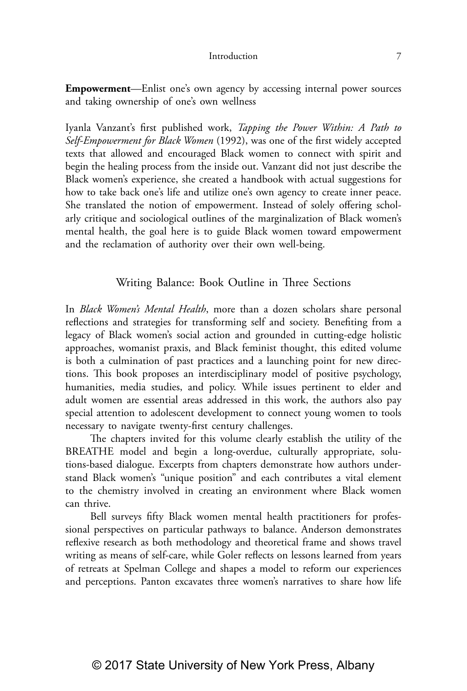**Empowerment***—*Enlist one's own agency by accessing internal power sources and taking ownership of one's own wellness

Iyanla Vanzant's first published work, *Tapping the Power Within: A Path to Self-Empowerment for Black Women* (1992), was one of the first widely accepted texts that allowed and encouraged Black women to connect with spirit and begin the healing process from the inside out. Vanzant did not just describe the Black women's experience, she created a handbook with actual suggestions for how to take back one's life and utilize one's own agency to create inner peace. She translated the notion of empowerment. Instead of solely offering scholarly critique and sociological outlines of the marginalization of Black women's mental health, the goal here is to guide Black women toward empowerment and the reclamation of authority over their own well-being.

### Writing Balance: Book Outline in Three Sections

In *Black Women's Mental Health*, more than a dozen scholars share personal reflections and strategies for transforming self and society. Benefiting from a legacy of Black women's social action and grounded in cutting-edge holistic approaches, womanist praxis, and Black feminist thought, this edited volume is both a culmination of past practices and a launching point for new directions. This book proposes an interdisciplinary model of positive psychology, humanities, media studies, and policy. While issues pertinent to elder and adult women are essential areas addressed in this work, the authors also pay special attention to adolescent development to connect young women to tools necessary to navigate twenty-first century challenges.

The chapters invited for this volume clearly establish the utility of the BREATHE model and begin a long-overdue, culturally appropriate, solutions-based dialogue. Excerpts from chapters demonstrate how authors understand Black women's "unique position" and each contributes a vital element to the chemistry involved in creating an environment where Black women can thrive.

Bell surveys fifty Black women mental health practitioners for professional perspectives on particular pathways to balance. Anderson demonstrates reflexive research as both methodology and theoretical frame and shows travel writing as means of self-care, while Goler reflects on lessons learned from years of retreats at Spelman College and shapes a model to reform our experiences and perceptions. Panton excavates three women's narratives to share how life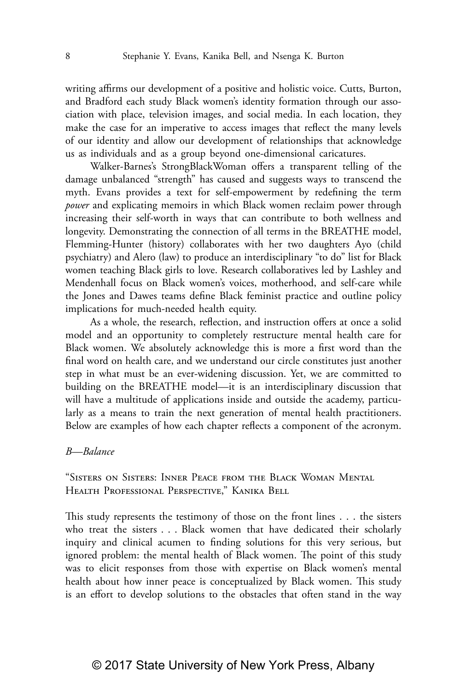writing affirms our development of a positive and holistic voice. Cutts, Burton, and Bradford each study Black women's identity formation through our association with place, television images, and social media. In each location, they make the case for an imperative to access images that reflect the many levels of our identity and allow our development of relationships that acknowledge us as individuals and as a group beyond one-dimensional caricatures.

Walker-Barnes's StrongBlackWoman offers a transparent telling of the damage unbalanced "strength" has caused and suggests ways to transcend the myth. Evans provides a text for self-empowerment by redefining the term *power* and explicating memoirs in which Black women reclaim power through increasing their self-worth in ways that can contribute to both wellness and longevity. Demonstrating the connection of all terms in the BREATHE model, Flemming-Hunter (history) collaborates with her two daughters Ayo (child psychiatry) and Alero (law) to produce an interdisciplinary "to do" list for Black women teaching Black girls to love. Research collaboratives led by Lashley and Mendenhall focus on Black women's voices, motherhood, and self-care while the Jones and Dawes teams define Black feminist practice and outline policy implications for much-needed health equity.

As a whole, the research, reflection, and instruction offers at once a solid model and an opportunity to completely restructure mental health care for Black women. We absolutely acknowledge this is more a first word than the final word on health care, and we understand our circle constitutes just another step in what must be an ever-widening discussion. Yet, we are committed to building on the BREATHE model—it is an interdisciplinary discussion that will have a multitude of applications inside and outside the academy, particularly as a means to train the next generation of mental health practitioners. Below are examples of how each chapter reflects a component of the acronym.

### *B—Balance*

"Sisters on Sisters: Inner Peace from the Black Woman Mental Health Professional Perspective," Kanika Bell

This study represents the testimony of those on the front lines . . . the sisters who treat the sisters . . . Black women that have dedicated their scholarly inquiry and clinical acumen to finding solutions for this very serious, but ignored problem: the mental health of Black women. The point of this study was to elicit responses from those with expertise on Black women's mental health about how inner peace is conceptualized by Black women. This study is an effort to develop solutions to the obstacles that often stand in the way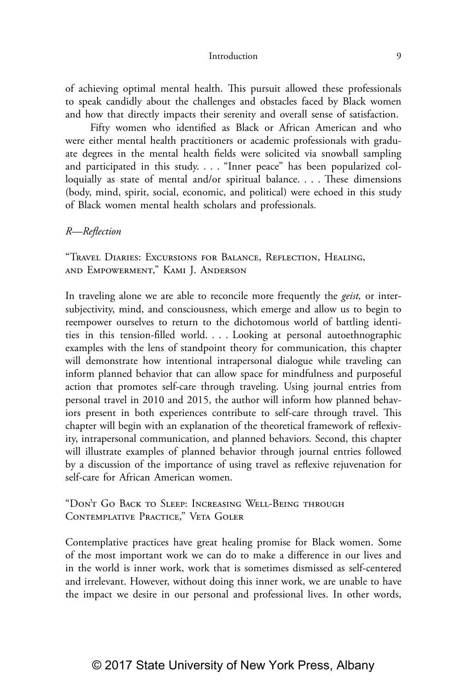of achieving optimal mental health. This pursuit allowed these professionals to speak candidly about the challenges and obstacles faced by Black women and how that directly impacts their serenity and overall sense of satisfaction.

Fifty women who identified as Black or African American and who were either mental health practitioners or academic professionals with graduate degrees in the mental health fields were solicited via snowball sampling and participated in this study. . . . "Inner peace" has been popularized colloquially as state of mental and/or spiritual balance. . . . These dimensions (body, mind, spirit, social, economic, and political) were echoed in this study of Black women mental health scholars and professionals.

#### *R—Reflection*

"Travel Diaries: Excursions for Balance, Reflection, Healing, and Empowerment," Kami J. Anderson

In traveling alone we are able to reconcile more frequently the *geist,* or intersubjectivity, mind, and consciousness, which emerge and allow us to begin to reempower ourselves to return to the dichotomous world of battling identities in this tension-filled world. . . . Looking at personal autoethnographic examples with the lens of standpoint theory for communication, this chapter will demonstrate how intentional intrapersonal dialogue while traveling can inform planned behavior that can allow space for mindfulness and purposeful action that promotes self-care through traveling. Using journal entries from personal travel in 2010 and 2015, the author will inform how planned behaviors present in both experiences contribute to self-care through travel. This chapter will begin with an explanation of the theoretical framework of reflexivity, intrapersonal communication, and planned behaviors. Second, this chapter will illustrate examples of planned behavior through journal entries followed by a discussion of the importance of using travel as reflexive rejuvenation for self-care for African American women.

"Don't Go Back to Sleep: Increasing Well-Being through Contemplative Practice," Veta Goler

Contemplative practices have great healing promise for Black women. Some of the most important work we can do to make a difference in our lives and in the world is inner work, work that is sometimes dismissed as self-centered and irrelevant. However, without doing this inner work, we are unable to have the impact we desire in our personal and professional lives. In other words,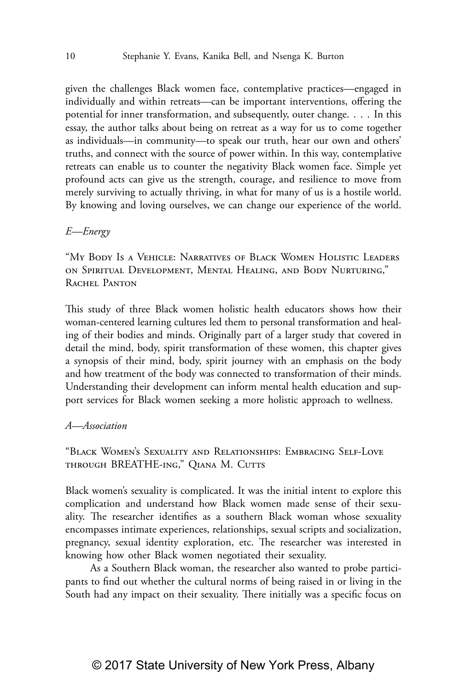given the challenges Black women face, contemplative practices—engaged in individually and within retreats—can be important interventions, offering the potential for inner transformation, and subsequently, outer change. . . . In this essay, the author talks about being on retreat as a way for us to come together as individuals—in community—to speak our truth, hear our own and others' truths, and connect with the source of power within. In this way, contemplative retreats can enable us to counter the negativity Black women face. Simple yet profound acts can give us the strength, courage, and resilience to move from merely surviving to actually thriving, in what for many of us is a hostile world. By knowing and loving ourselves, we can change our experience of the world.

### *E—Energy*

"My Body Is a Vehicle: Narratives of Black Women Holistic Leaders on Spiritual Development, Mental Healing, and Body Nurturing," RACHEL PANTON

This study of three Black women holistic health educators shows how their woman-centered learning cultures led them to personal transformation and healing of their bodies and minds. Originally part of a larger study that covered in detail the mind, body, spirit transformation of these women, this chapter gives a synopsis of their mind, body, spirit journey with an emphasis on the body and how treatment of the body was connected to transformation of their minds. Understanding their development can inform mental health education and support services for Black women seeking a more holistic approach to wellness.

#### *A—Association*

"Black Women's Sexuality and Relationships: Embracing Self-Love through BREATHE-ing," Qiana M. Cutts

Black women's sexuality is complicated. It was the initial intent to explore this complication and understand how Black women made sense of their sexuality. The researcher identifies as a southern Black woman whose sexuality encompasses intimate experiences, relationships, sexual scripts and socialization, pregnancy, sexual identity exploration, etc. The researcher was interested in knowing how other Black women negotiated their sexuality.

As a Southern Black woman, the researcher also wanted to probe participants to find out whether the cultural norms of being raised in or living in the South had any impact on their sexuality. There initially was a specific focus on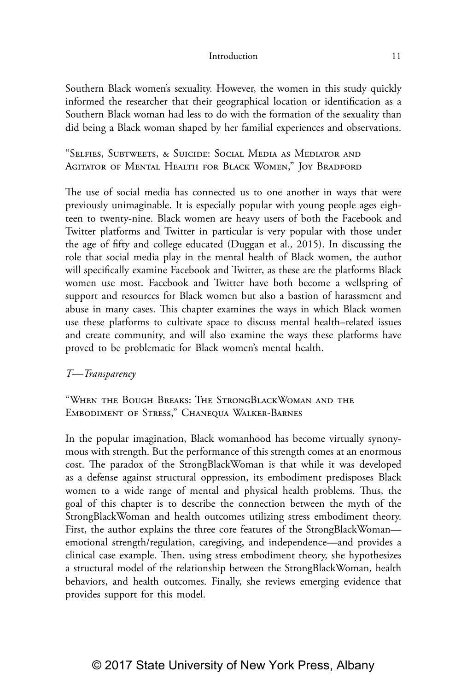Southern Black women's sexuality. However, the women in this study quickly informed the researcher that their geographical location or identification as a Southern Black woman had less to do with the formation of the sexuality than did being a Black woman shaped by her familial experiences and observations.

# "Selfies, Subtweets, & Suicide: Social Media as Mediator and Agitator of Mental Health for Black Women," Joy Bradford

The use of social media has connected us to one another in ways that were previously unimaginable. It is especially popular with young people ages eighteen to twenty-nine. Black women are heavy users of both the Facebook and Twitter platforms and Twitter in particular is very popular with those under the age of fifty and college educated (Duggan et al., 2015). In discussing the role that social media play in the mental health of Black women, the author will specifically examine Facebook and Twitter, as these are the platforms Black women use most. Facebook and Twitter have both become a wellspring of support and resources for Black women but also a bastion of harassment and abuse in many cases. This chapter examines the ways in which Black women use these platforms to cultivate space to discuss mental health–related issues and create community, and will also examine the ways these platforms have proved to be problematic for Black women's mental health.

# *T—Transparency*

"When the Bough Breaks: The StrongBlackWoman and the Embodiment of Stress," Chanequa Walker-Barnes

In the popular imagination, Black womanhood has become virtually synonymous with strength. But the performance of this strength comes at an enormous cost. The paradox of the StrongBlackWoman is that while it was developed as a defense against structural oppression, its embodiment predisposes Black women to a wide range of mental and physical health problems. Thus, the goal of this chapter is to describe the connection between the myth of the StrongBlackWoman and health outcomes utilizing stress embodiment theory. First, the author explains the three core features of the StrongBlackWoman emotional strength/regulation, caregiving, and independence—and provides a clinical case example. Then, using stress embodiment theory, she hypothesizes a structural model of the relationship between the StrongBlackWoman, health behaviors, and health outcomes. Finally, she reviews emerging evidence that provides support for this model.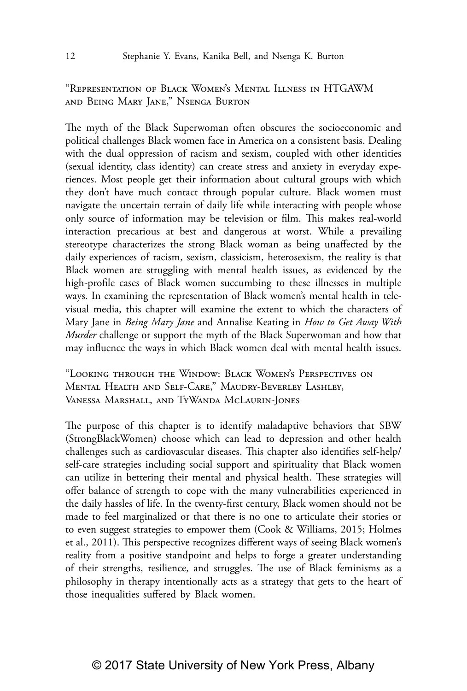# "Representation of Black Women's Mental Illness in HTGAWM and Being Mary Jane," Nsenga Burton

The myth of the Black Superwoman often obscures the socioeconomic and political challenges Black women face in America on a consistent basis. Dealing with the dual oppression of racism and sexism, coupled with other identities (sexual identity, class identity) can create stress and anxiety in everyday experiences. Most people get their information about cultural groups with which they don't have much contact through popular culture. Black women must navigate the uncertain terrain of daily life while interacting with people whose only source of information may be television or film. This makes real-world interaction precarious at best and dangerous at worst. While a prevailing stereotype characterizes the strong Black woman as being unaffected by the daily experiences of racism, sexism, classicism, heterosexism, the reality is that Black women are struggling with mental health issues, as evidenced by the high-profile cases of Black women succumbing to these illnesses in multiple ways. In examining the representation of Black women's mental health in televisual media, this chapter will examine the extent to which the characters of Mary Jane in *Being Mary Jane* and Annalise Keating in *How to Get Away With Murder* challenge or support the myth of the Black Superwoman and how that may influence the ways in which Black women deal with mental health issues.

"Looking through the Window: Black Women's Perspectives on Mental Health and Self-Care," Maudry-Beverley Lashley, Vanessa Marshall, and TyWanda McLaurin-Jones

The purpose of this chapter is to identify maladaptive behaviors that SBW (StrongBlackWomen) choose which can lead to depression and other health challenges such as cardiovascular diseases. This chapter also identifies self-help/ self-care strategies including social support and spirituality that Black women can utilize in bettering their mental and physical health. These strategies will offer balance of strength to cope with the many vulnerabilities experienced in the daily hassles of life. In the twenty-first century, Black women should not be made to feel marginalized or that there is no one to articulate their stories or to even suggest strategies to empower them (Cook & Williams, 2015; Holmes et al., 2011). This perspective recognizes different ways of seeing Black women's reality from a positive standpoint and helps to forge a greater understanding of their strengths, resilience, and struggles. The use of Black feminisms as a philosophy in therapy intentionally acts as a strategy that gets to the heart of those inequalities suffered by Black women.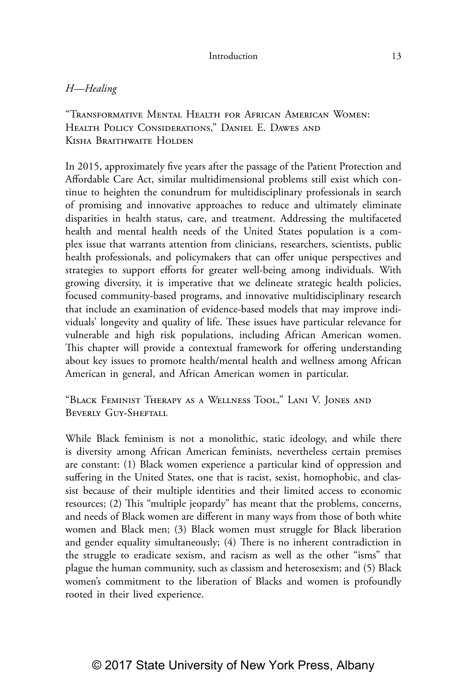# *H—Healing*

"Transformative Mental Health for African American Women: Health Policy Considerations," Daniel E. Dawes and Kisha Braithwaite Holden

In 2015, approximately five years after the passage of the Patient Protection and Affordable Care Act, similar multidimensional problems still exist which continue to heighten the conundrum for multidisciplinary professionals in search of promising and innovative approaches to reduce and ultimately eliminate disparities in health status, care, and treatment. Addressing the multifaceted health and mental health needs of the United States population is a complex issue that warrants attention from clinicians, researchers, scientists, public health professionals, and policymakers that can offer unique perspectives and strategies to support efforts for greater well-being among individuals. With growing diversity, it is imperative that we delineate strategic health policies, focused community-based programs, and innovative multidisciplinary research that include an examination of evidence-based models that may improve individuals' longevity and quality of life. These issues have particular relevance for vulnerable and high risk populations, including African American women. This chapter will provide a contextual framework for offering understanding about key issues to promote health/mental health and wellness among African American in general, and African American women in particular.

"Black Feminist Therapy as a Wellness Tool," Lani V. Jones and Beverly Guy-Sheftall

While Black feminism is not a monolithic, static ideology, and while there is diversity among African American feminists, nevertheless certain premises are constant: (1) Black women experience a particular kind of oppression and suffering in the United States, one that is racist, sexist, homophobic, and classist because of their multiple identities and their limited access to economic resources; (2) This "multiple jeopardy" has meant that the problems, concerns, and needs of Black women are different in many ways from those of both white women and Black men; (3) Black women must struggle for Black liberation and gender equality simultaneously; (4) There is no inherent contradiction in the struggle to eradicate sexism, and racism as well as the other "isms" that plague the human community, such as classism and heterosexism; and (5) Black women's commitment to the liberation of Blacks and women is profoundly rooted in their lived experience.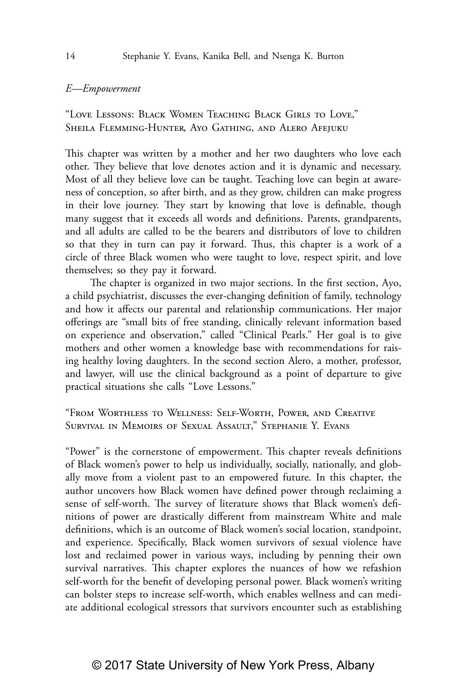### *E—Empowerment*

"Love Lessons: Black Women Teaching Black Girls to Love," Sheila Flemming-Hunter, Ayo Gathing, and Alero Afejuku

This chapter was written by a mother and her two daughters who love each other. They believe that love denotes action and it is dynamic and necessary. Most of all they believe love can be taught. Teaching love can begin at awareness of conception, so after birth, and as they grow, children can make progress in their love journey. They start by knowing that love is definable, though many suggest that it exceeds all words and definitions. Parents, grandparents, and all adults are called to be the bearers and distributors of love to children so that they in turn can pay it forward. Thus, this chapter is a work of a circle of three Black women who were taught to love, respect spirit, and love themselves; so they pay it forward.

The chapter is organized in two major sections. In the first section, Ayo, a child psychiatrist, discusses the ever-changing definition of family, technology and how it affects our parental and relationship communications. Her major offerings are "small bits of free standing, clinically relevant information based on experience and observation," called "Clinical Pearls." Her goal is to give mothers and other women a knowledge base with recommendations for raising healthy loving daughters. In the second section Alero, a mother, professor, and lawyer, will use the clinical background as a point of departure to give practical situations she calls "Love Lessons."

"From Worthless to Wellness: Self-Worth, Power, and Creative SURVIVAL IN MEMOIRS OF SEXUAL ASSAULT," STEPHANIE Y. EVANS

"Power" is the cornerstone of empowerment. This chapter reveals definitions of Black women's power to help us individually, socially, nationally, and globally move from a violent past to an empowered future. In this chapter, the author uncovers how Black women have defined power through reclaiming a sense of self-worth. The survey of literature shows that Black women's definitions of power are drastically different from mainstream White and male definitions, which is an outcome of Black women's social location, standpoint, and experience. Specifically, Black women survivors of sexual violence have lost and reclaimed power in various ways, including by penning their own survival narratives. This chapter explores the nuances of how we refashion self-worth for the benefit of developing personal power. Black women's writing can bolster steps to increase self-worth, which enables wellness and can mediate additional ecological stressors that survivors encounter such as establishing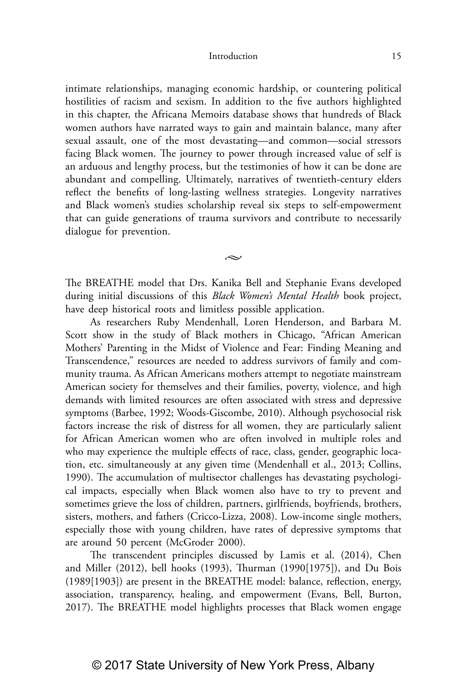intimate relationships, managing economic hardship, or countering political hostilities of racism and sexism. In addition to the five authors highlighted in this chapter, the Africana Memoirs database shows that hundreds of Black women authors have narrated ways to gain and maintain balance, many after sexual assault, one of the most devastating—and common—social stressors facing Black women. The journey to power through increased value of self is an arduous and lengthy process, but the testimonies of how it can be done are abundant and compelling. Ultimately, narratives of twentieth-century elders reflect the benefits of long-lasting wellness strategies. Longevity narratives and Black women's studies scholarship reveal six steps to self-empowerment that can guide generations of trauma survivors and contribute to necessarily dialogue for prevention.

The BREATHE model that Drs. Kanika Bell and Stephanie Evans developed during initial discussions of this *Black Women's Mental Health* book project, have deep historical roots and limitless possible application.

 $\sim$ 

As researchers Ruby Mendenhall, Loren Henderson, and Barbara M. Scott show in the study of Black mothers in Chicago, "African American Mothers' Parenting in the Midst of Violence and Fear: Finding Meaning and Transcendence," resources are needed to address survivors of family and community trauma. As African Americans mothers attempt to negotiate mainstream American society for themselves and their families, poverty, violence, and high demands with limited resources are often associated with stress and depressive symptoms (Barbee, 1992; Woods-Giscombe, 2010). Although psychosocial risk factors increase the risk of distress for all women, they are particularly salient for African American women who are often involved in multiple roles and who may experience the multiple effects of race, class, gender, geographic location, etc. simultaneously at any given time (Mendenhall et al., 2013; Collins, 1990). The accumulation of multisector challenges has devastating psychological impacts, especially when Black women also have to try to prevent and sometimes grieve the loss of children, partners, girlfriends, boyfriends, brothers, sisters, mothers, and fathers (Cricco-Lizza, 2008). Low-income single mothers, especially those with young children, have rates of depressive symptoms that are around 50 percent (McGroder 2000).

The transcendent principles discussed by Lamis et al. (2014), Chen and Miller (2012), bell hooks (1993), Thurman (1990[1975]), and Du Bois (1989[1903]) are present in the BREATHE model: balance, reflection, energy, association, transparency, healing, and empowerment (Evans, Bell, Burton, 2017). The BREATHE model highlights processes that Black women engage

# © 2017 State University of New York Press, Albany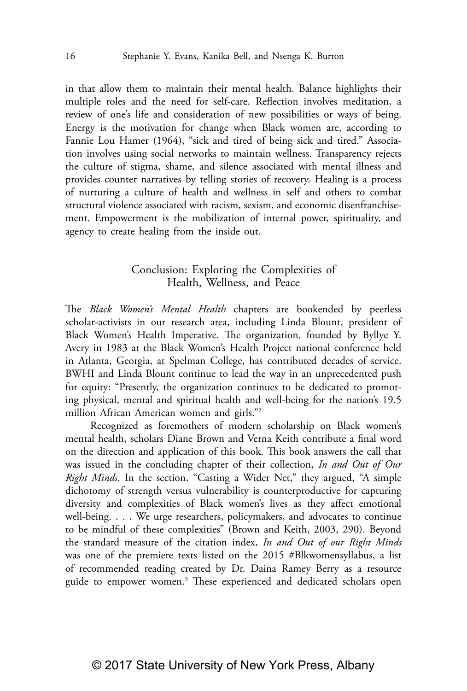in that allow them to maintain their mental health. Balance highlights their multiple roles and the need for self-care. Reflection involves meditation, a review of one's life and consideration of new possibilities or ways of being. Energy is the motivation for change when Black women are, according to Fannie Lou Hamer (1964), "sick and tired of being sick and tired." Association involves using social networks to maintain wellness. Transparency rejects the culture of stigma, shame, and silence associated with mental illness and provides counter narratives by telling stories of recovery. Healing is a process of nurturing a culture of health and wellness in self and others to combat structural violence associated with racism, sexism, and economic disenfranchisement. Empowerment is the mobilization of internal power, spirituality, and agency to create healing from the inside out.

# Conclusion: Exploring the Complexities of Health, Wellness, and Peace

The *Black Women's Mental Health* chapters are bookended by peerless scholar-activists in our research area, including Linda Blount, president of Black Women's Health Imperative. The organization, founded by Byllye Y. Avery in 1983 at the Black Women's Health Project national conference held in Atlanta, Georgia, at Spelman College, has contributed decades of service. BWHI and Linda Blount continue to lead the way in an unprecedented push for equity: "Presently, the organization continues to be dedicated to promoting physical, mental and spiritual health and well-being for the nation's 19.5 million African American women and girls."2

Recognized as foremothers of modern scholarship on Black women's mental health, scholars Diane Brown and Verna Keith contribute a final word on the direction and application of this book. This book answers the call that was issued in the concluding chapter of their collection, *In and Out of Our Right Minds*. In the section, "Casting a Wider Net," they argued, "A simple dichotomy of strength versus vulnerability is counterproductive for capturing diversity and complexities of Black women's lives as they affect emotional well-being. . . . We urge researchers, policymakers, and advocates to continue to be mindful of these complexities" (Brown and Keith, 2003, 290). Beyond the standard measure of the citation index, *In and Out of our Right Minds* was one of the premiere texts listed on the 2015 #Blkwomensyllabus, a list of recommended reading created by Dr. Daina Ramey Berry as a resource guide to empower women.3 These experienced and dedicated scholars open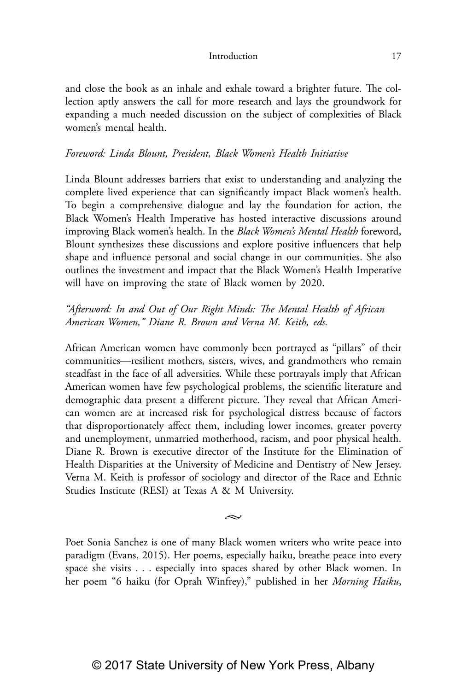and close the book as an inhale and exhale toward a brighter future. The collection aptly answers the call for more research and lays the groundwork for expanding a much needed discussion on the subject of complexities of Black women's mental health.

### *Foreword: Linda Blount, President, Black Women's Health Initiative*

Linda Blount addresses barriers that exist to understanding and analyzing the complete lived experience that can significantly impact Black women's health. To begin a comprehensive dialogue and lay the foundation for action, the Black Women's Health Imperative has hosted interactive discussions around improving Black women's health. In the *Black Women's Mental Health* foreword, Blount synthesizes these discussions and explore positive influencers that help shape and influence personal and social change in our communities. She also outlines the investment and impact that the Black Women's Health Imperative will have on improving the state of Black women by 2020.

# *"Afterword: In and Out of Our Right Minds: The Mental Health of African American Women," Diane R. Brown and Verna M. Keith, eds.*

African American women have commonly been portrayed as "pillars" of their communities—resilient mothers, sisters, wives, and grandmothers who remain steadfast in the face of all adversities. While these portrayals imply that African American women have few psychological problems, the scientific literature and demographic data present a different picture. They reveal that African American women are at increased risk for psychological distress because of factors that disproportionately affect them, including lower incomes, greater poverty and unemployment, unmarried motherhood, racism, and poor physical health. Diane R. Brown is executive director of the Institute for the Elimination of Health Disparities at the University of Medicine and Dentistry of New Jersey. Verna M. Keith is professor of sociology and director of the Race and Ethnic Studies Institute (RESI) at Texas A & M University.

Poet Sonia Sanchez is one of many Black women writers who write peace into paradigm (Evans, 2015). Her poems, especially haiku, breathe peace into every space she visits . . . especially into spaces shared by other Black women. In her poem "6 haiku (for Oprah Winfrey)," published in her *Morning Haiku*,

پ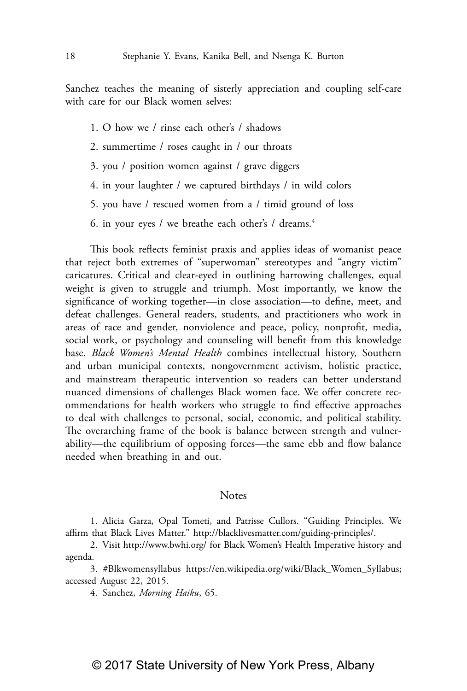Sanchez teaches the meaning of sisterly appreciation and coupling self-care with care for our Black women selves:

- 1. O how we / rinse each other's / shadows
- 2. summertime / roses caught in / our throats
- 3. you / position women against / grave diggers
- 4. in your laughter / we captured birthdays / in wild colors
- 5. you have / rescued women from a / timid ground of loss
- 6. in your eyes / we breathe each other's / dreams.4

This book reflects feminist praxis and applies ideas of womanist peace that reject both extremes of "superwoman" stereotypes and "angry victim" caricatures. Critical and clear-eyed in outlining harrowing challenges, equal weight is given to struggle and triumph. Most importantly, we know the significance of working together—in close association—to define, meet, and defeat challenges. General readers, students, and practitioners who work in areas of race and gender, nonviolence and peace, policy, nonprofit, media, social work, or psychology and counseling will benefit from this knowledge base. *Black Women's Mental Health* combines intellectual history, Southern and urban municipal contexts, nongovernment activism, holistic practice, and mainstream therapeutic intervention so readers can better understand nuanced dimensions of challenges Black women face. We offer concrete recommendations for health workers who struggle to find effective approaches to deal with challenges to personal, social, economic, and political stability. The overarching frame of the book is balance between strength and vulnerability—the equilibrium of opposing forces—the same ebb and flow balance needed when breathing in and out.

### **Notes**

1. Alicia Garza, Opal Tometi, and Patrisse Cullors. "Guiding Principles. We affirm that Black Lives Matter." http://blacklivesmatter.com/guiding-principles/.

2. Visit http://www.bwhi.org/ for Black Women's Health Imperative history and agenda.

3. #Blkwomensyllabus https://en.wikipedia.org/wiki/Black\_Women\_Syllabus; accessed August 22, 2015.

4. Sanchez, *Morning Haiku*, 65.

# © 2017 State University of New York Press, Albany